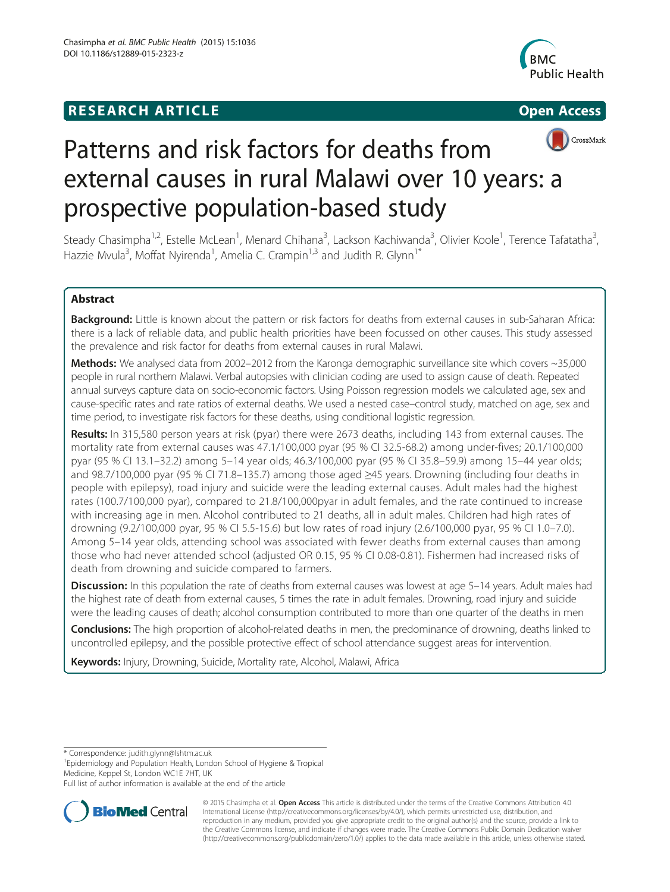## **RESEARCH ARTICLE Example 2014 12:30 The SEAR CHA RESEARCH ARTICLE**



# CrossMark Patterns and risk factors for deaths from external causes in rural Malawi over 10 years: a prospective population-based study

Steady Chasimpha<sup>1,2</sup>, Estelle McLean<sup>1</sup>, Menard Chihana<sup>3</sup>, Lackson Kachiwanda<sup>3</sup>, Olivier Koole<sup>1</sup>, Terence Tafatatha<sup>3</sup> .<br>ו Hazzie Mvula<sup>3</sup>, Moffat Nyirenda<sup>1</sup>, Amelia C. Crampin<sup>1,3</sup> and Judith R. Glynn<sup>1\*</sup>

### Abstract

Background: Little is known about the pattern or risk factors for deaths from external causes in sub-Saharan Africa: there is a lack of reliable data, and public health priorities have been focussed on other causes. This study assessed the prevalence and risk factor for deaths from external causes in rural Malawi.

Methods: We analysed data from 2002–2012 from the Karonga demographic surveillance site which covers ~35,000 people in rural northern Malawi. Verbal autopsies with clinician coding are used to assign cause of death. Repeated annual surveys capture data on socio-economic factors. Using Poisson regression models we calculated age, sex and cause-specific rates and rate ratios of external deaths. We used a nested case–control study, matched on age, sex and time period, to investigate risk factors for these deaths, using conditional logistic regression.

Results: In 315,580 person years at risk (pyar) there were 2673 deaths, including 143 from external causes. The mortality rate from external causes was 47.1/100,000 pyar (95 % CI 32.5-68.2) among under-fives; 20.1/100,000 pyar (95 % CI 13.1–32.2) among 5–14 year olds; 46.3/100,000 pyar (95 % CI 35.8–59.9) among 15–44 year olds; and 98.7/100,000 pyar (95 % CI 71.8–135.7) among those aged ≥45 years. Drowning (including four deaths in people with epilepsy), road injury and suicide were the leading external causes. Adult males had the highest rates (100.7/100,000 pyar), compared to 21.8/100,000pyar in adult females, and the rate continued to increase with increasing age in men. Alcohol contributed to 21 deaths, all in adult males. Children had high rates of drowning (9.2/100,000 pyar, 95 % CI 5.5-15.6) but low rates of road injury (2.6/100,000 pyar, 95 % CI 1.0–7.0). Among 5–14 year olds, attending school was associated with fewer deaths from external causes than among those who had never attended school (adjusted OR 0.15, 95 % CI 0.08-0.81). Fishermen had increased risks of death from drowning and suicide compared to farmers.

**Discussion:** In this population the rate of deaths from external causes was lowest at age 5–14 years. Adult males had the highest rate of death from external causes, 5 times the rate in adult females. Drowning, road injury and suicide were the leading causes of death; alcohol consumption contributed to more than one quarter of the deaths in men

**Conclusions:** The high proportion of alcohol-related deaths in men, the predominance of drowning, deaths linked to uncontrolled epilepsy, and the possible protective effect of school attendance suggest areas for intervention.

Keywords: Injury, Drowning, Suicide, Mortality rate, Alcohol, Malawi, Africa

\* Correspondence: [judith.glynn@lshtm.ac.uk](mailto:judith.glynn@lshtm.ac.uk) <sup>1</sup>

<sup>1</sup> Epidemiology and Population Health, London School of Hygiene & Tropical Medicine, Keppel St, London WC1E 7HT, UK

Full list of author information is available at the end of the article



© 2015 Chasimpha et al. Open Access This article is distributed under the terms of the Creative Commons Attribution 4.0 International License [\(http://creativecommons.org/licenses/by/4.0/](http://creativecommons.org/licenses/by/4.0/)), which permits unrestricted use, distribution, and reproduction in any medium, provided you give appropriate credit to the original author(s) and the source, provide a link to the Creative Commons license, and indicate if changes were made. The Creative Commons Public Domain Dedication waiver [\(http://creativecommons.org/publicdomain/zero/1.0/](http://creativecommons.org/publicdomain/zero/1.0/)) applies to the data made available in this article, unless otherwise stated.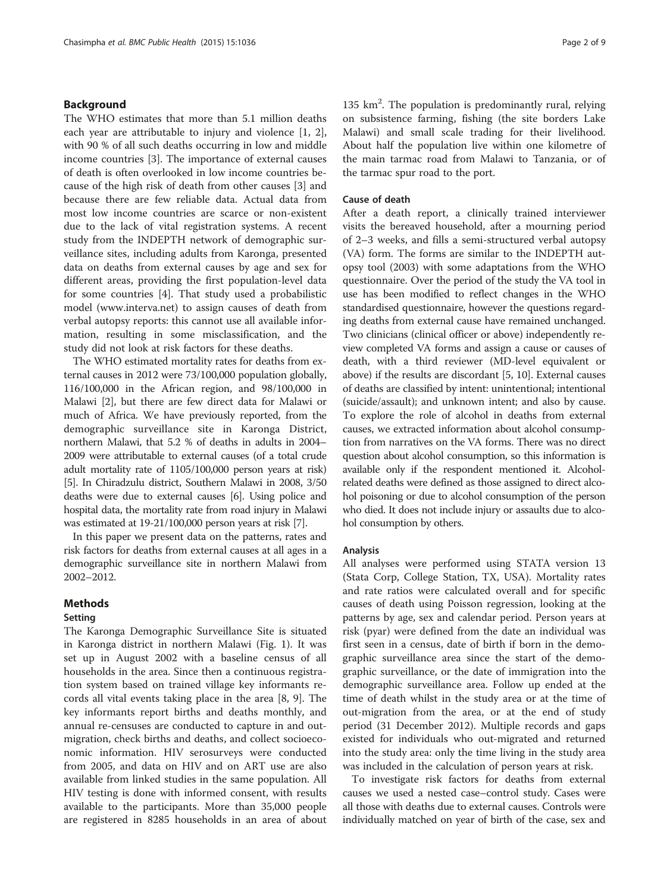### Background

The WHO estimates that more than 5.1 million deaths each year are attributable to injury and violence [\[1, 2](#page-8-0)], with 90 % of all such deaths occurring in low and middle income countries [\[3](#page-8-0)]. The importance of external causes of death is often overlooked in low income countries because of the high risk of death from other causes [\[3](#page-8-0)] and because there are few reliable data. Actual data from most low income countries are scarce or non-existent due to the lack of vital registration systems. A recent study from the INDEPTH network of demographic surveillance sites, including adults from Karonga, presented data on deaths from external causes by age and sex for different areas, providing the first population-level data for some countries [[4\]](#page-8-0). That study used a probabilistic model [\(www.interva.net](http://www.interva.net)) to assign causes of death from verbal autopsy reports: this cannot use all available information, resulting in some misclassification, and the study did not look at risk factors for these deaths.

The WHO estimated mortality rates for deaths from external causes in 2012 were 73/100,000 population globally, 116/100,000 in the African region, and 98/100,000 in Malawi [\[2](#page-8-0)], but there are few direct data for Malawi or much of Africa. We have previously reported, from the demographic surveillance site in Karonga District, northern Malawi, that 5.2 % of deaths in adults in 2004– 2009 were attributable to external causes (of a total crude adult mortality rate of 1105/100,000 person years at risk) [[5](#page-8-0)]. In Chiradzulu district, Southern Malawi in 2008, 3/50 deaths were due to external causes [[6](#page-8-0)]. Using police and hospital data, the mortality rate from road injury in Malawi was estimated at 19-21/100,000 person years at risk [[7](#page-8-0)].

In this paper we present data on the patterns, rates and risk factors for deaths from external causes at all ages in a demographic surveillance site in northern Malawi from 2002–2012.

#### Methods

### Setting

The Karonga Demographic Surveillance Site is situated in Karonga district in northern Malawi (Fig. [1\)](#page-2-0). It was set up in August 2002 with a baseline census of all households in the area. Since then a continuous registration system based on trained village key informants records all vital events taking place in the area [\[8, 9\]](#page-8-0). The key informants report births and deaths monthly, and annual re-censuses are conducted to capture in and outmigration, check births and deaths, and collect socioeconomic information. HIV serosurveys were conducted from 2005, and data on HIV and on ART use are also available from linked studies in the same population. All HIV testing is done with informed consent, with results available to the participants. More than 35,000 people are registered in 8285 households in an area of about

135 km<sup>2</sup>. The population is predominantly rural, relying on subsistence farming, fishing (the site borders Lake Malawi) and small scale trading for their livelihood. About half the population live within one kilometre of the main tarmac road from Malawi to Tanzania, or of the tarmac spur road to the port.

#### Cause of death

After a death report, a clinically trained interviewer visits the bereaved household, after a mourning period of 2–3 weeks, and fills a semi-structured verbal autopsy (VA) form. The forms are similar to the INDEPTH autopsy tool (2003) with some adaptations from the WHO questionnaire. Over the period of the study the VA tool in use has been modified to reflect changes in the WHO standardised questionnaire, however the questions regarding deaths from external cause have remained unchanged. Two clinicians (clinical officer or above) independently review completed VA forms and assign a cause or causes of death, with a third reviewer (MD-level equivalent or above) if the results are discordant [\[5](#page-8-0), [10\]](#page-8-0). External causes of deaths are classified by intent: unintentional; intentional (suicide/assault); and unknown intent; and also by cause. To explore the role of alcohol in deaths from external causes, we extracted information about alcohol consumption from narratives on the VA forms. There was no direct question about alcohol consumption, so this information is available only if the respondent mentioned it. Alcoholrelated deaths were defined as those assigned to direct alcohol poisoning or due to alcohol consumption of the person who died. It does not include injury or assaults due to alcohol consumption by others.

#### Analysis

All analyses were performed using STATA version 13 (Stata Corp, College Station, TX, USA). Mortality rates and rate ratios were calculated overall and for specific causes of death using Poisson regression, looking at the patterns by age, sex and calendar period. Person years at risk (pyar) were defined from the date an individual was first seen in a census, date of birth if born in the demographic surveillance area since the start of the demographic surveillance, or the date of immigration into the demographic surveillance area. Follow up ended at the time of death whilst in the study area or at the time of out-migration from the area, or at the end of study period (31 December 2012). Multiple records and gaps existed for individuals who out-migrated and returned into the study area: only the time living in the study area was included in the calculation of person years at risk.

To investigate risk factors for deaths from external causes we used a nested case–control study. Cases were all those with deaths due to external causes. Controls were individually matched on year of birth of the case, sex and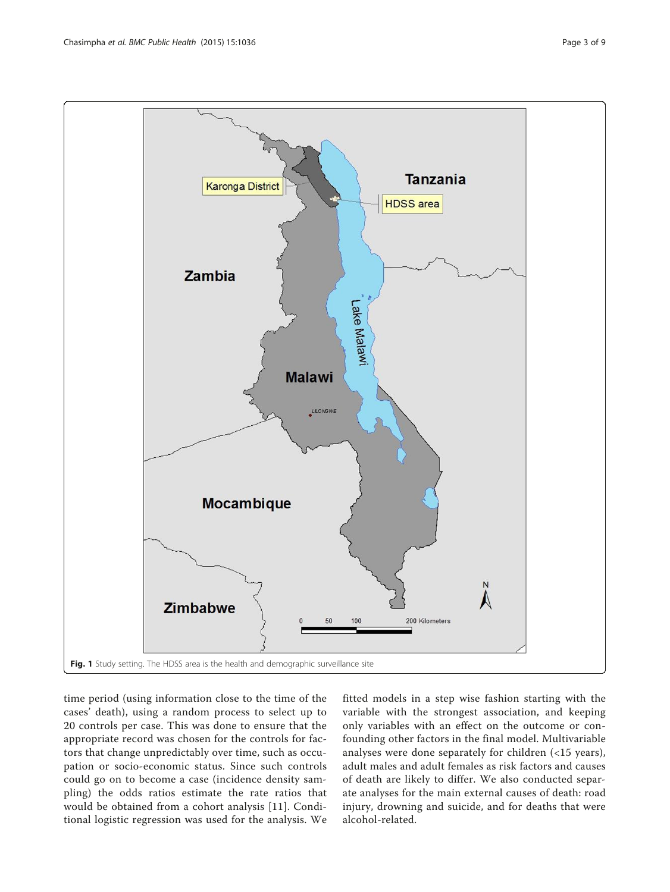<span id="page-2-0"></span>

time period (using information close to the time of the cases' death), using a random process to select up to 20 controls per case. This was done to ensure that the appropriate record was chosen for the controls for factors that change unpredictably over time, such as occupation or socio-economic status. Since such controls could go on to become a case (incidence density sampling) the odds ratios estimate the rate ratios that would be obtained from a cohort analysis [[11](#page-8-0)]. Conditional logistic regression was used for the analysis. We fitted models in a step wise fashion starting with the variable with the strongest association, and keeping only variables with an effect on the outcome or confounding other factors in the final model. Multivariable analyses were done separately for children (<15 years), adult males and adult females as risk factors and causes of death are likely to differ. We also conducted separate analyses for the main external causes of death: road injury, drowning and suicide, and for deaths that were alcohol-related.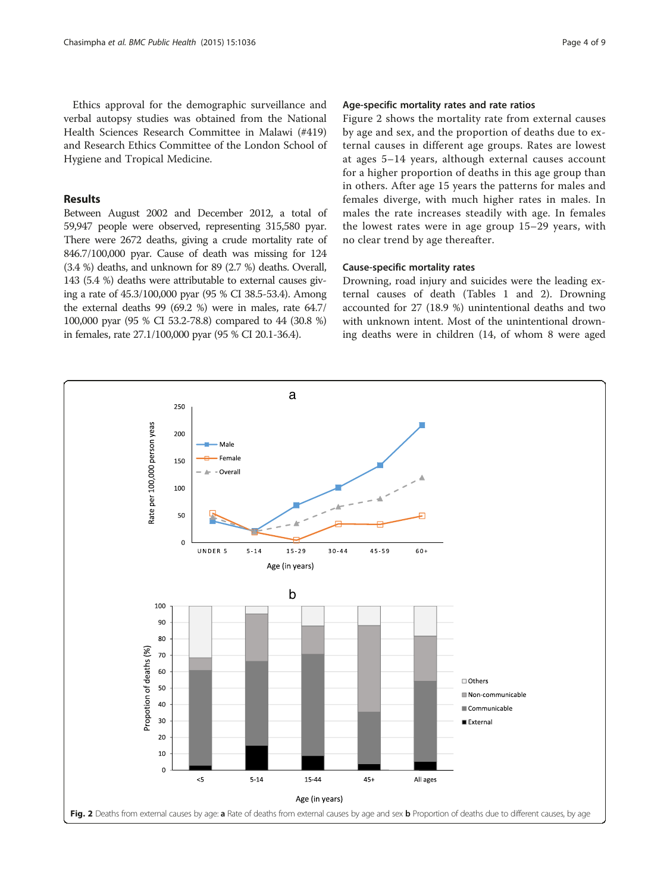Ethics approval for the demographic surveillance and verbal autopsy studies was obtained from the National Health Sciences Research Committee in Malawi (#419) and Research Ethics Committee of the London School of Hygiene and Tropical Medicine.

### Results

Between August 2002 and December 2012, a total of 59,947 people were observed, representing 315,580 pyar. There were 2672 deaths, giving a crude mortality rate of 846.7/100,000 pyar. Cause of death was missing for 124 (3.4 %) deaths, and unknown for 89 (2.7 %) deaths. Overall, 143 (5.4 %) deaths were attributable to external causes giving a rate of 45.3/100,000 pyar (95 % CI 38.5-53.4). Among the external deaths 99 (69.2 %) were in males, rate 64.7/ 100,000 pyar (95 % CI 53.2-78.8) compared to 44 (30.8 %) in females, rate 27.1/100,000 pyar (95 % CI 20.1-36.4).

#### Age-specific mortality rates and rate ratios

Figure 2 shows the mortality rate from external causes by age and sex, and the proportion of deaths due to external causes in different age groups. Rates are lowest at ages 5–14 years, although external causes account for a higher proportion of deaths in this age group than in others. After age 15 years the patterns for males and females diverge, with much higher rates in males. In males the rate increases steadily with age. In females the lowest rates were in age group 15–29 years, with no clear trend by age thereafter.

### Cause-specific mortality rates

Drowning, road injury and suicides were the leading external causes of death (Tables [1](#page-4-0) and [2\)](#page-4-0). Drowning accounted for 27 (18.9 %) unintentional deaths and two with unknown intent. Most of the unintentional drowning deaths were in children (14, of whom 8 were aged

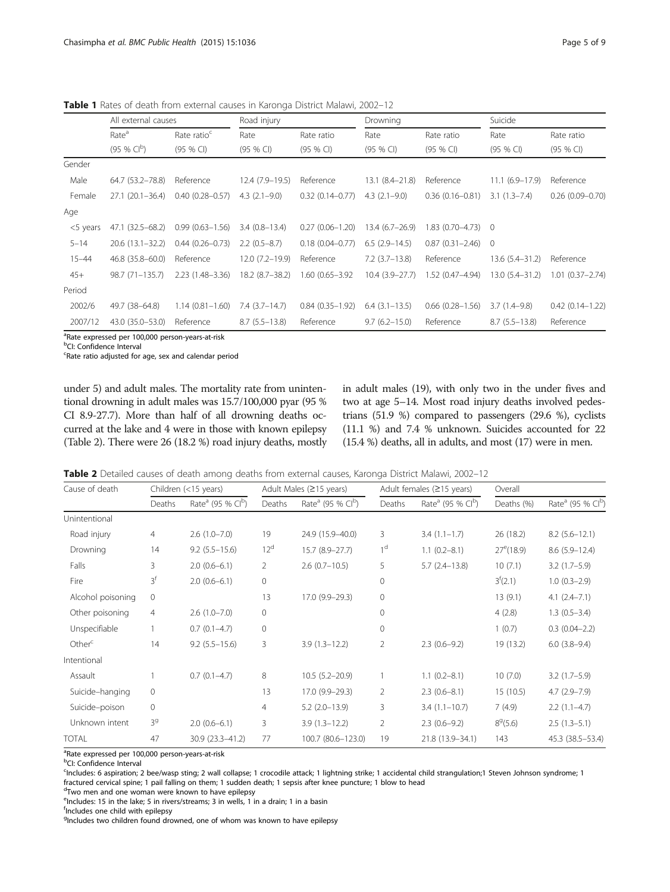<span id="page-4-0"></span>Table 1 Rates of death from external causes in Karonga District Malawi, 2002-12

|             | All external causes    |                         | Road injury      |                     | Drowning             |                        | Suicide            |                     |
|-------------|------------------------|-------------------------|------------------|---------------------|----------------------|------------------------|--------------------|---------------------|
|             | Rate <sup>a</sup>      | Rate ratio <sup>c</sup> | Rate             |                     | Rate                 | Rate ratio             | Rate               | Rate ratio          |
|             | (95 % C <sup>b</sup> ) | $(95%$ CI)              | (95 % CI)        | $(95%$ CI)          | $(95%$ CI)           | $(95%$ CI)             | $(95%$ CI)         | $(95%$ CI)          |
| Gender      |                        |                         |                  |                     |                      |                        |                    |                     |
| Male        | 64.7 (53.2-78.8)       | Reference               | 12.4 (7.9-19.5)  | Reference           | $13.1 (8.4 - 21.8)$  | Reference              | $11.1(6.9-17.9)$   | Reference           |
| Female      | $27.1(20.1 - 36.4)$    | $0.40(0.28 - 0.57)$     | $4.3(2.1-9.0)$   | $0.32(0.14 - 0.77)$ | $4.3(2.1-9.0)$       | $0.36(0.16 - 0.81)$    | $3.1(1.3 - 7.4)$   | $0.26(0.09 - 0.70)$ |
| Age         |                        |                         |                  |                     |                      |                        |                    |                     |
| $<$ 5 years | 47.1 (32.5–68.2)       | $0.99(0.63 - 1.56)$     | $3.4(0.8-13.4)$  | $0.27(0.06 - 1.20)$ | $13.4(6.7-26.9)$     | $1.83(0.70-4.73)$ 0    |                    |                     |
| $5 - 14$    | $20.6(13.1 - 32.2)$    | $0.44(0.26 - 0.73)$     | $2.2(0.5-8.7)$   | $0.18(0.04 - 0.77)$ | $6.5(2.9-14.5)$      | $0.87(0.31 - 2.46)$ 0  |                    |                     |
| $15 - 44$   | 46.8 (35.8-60.0)       | Reference               | $12.0(7.2-19.9)$ | Reference           | $7.2$ (3.7-13.8)     | Reference              | $13.6(5.4 - 31.2)$ | Reference           |
| $45+$       | $98.7(71 - 135.7)$     | $2.23(1.48-3.36)$       | 18.2 (8.7-38.2)  | 1.60 (0.65-3.92)    | $10.4(3.9 - 27.7)$   | $1.52(0.47 - 4.94)$    | $13.0(5.4 - 31.2)$ | $1.01(0.37 - 2.74)$ |
| Period      |                        |                         |                  |                     |                      |                        |                    |                     |
| 2002/6      | 49.7 (38-64.8)         | $1.14(0.81 - 1.60)$     | $7.4(3.7-14.7)$  | $0.84(0.35 - 1.92)$ | $6.4$ $(3.1 - 13.5)$ | $0.66$ $(0.28 - 1.56)$ | $3.7(1.4-9.8)$     | $0.42(0.14 - 1.22)$ |
| 2007/12     | 43.0 (35.0-53.0)       | Reference               | $8.7(5.5-13.8)$  | Reference           | $9.7(6.2 - 15.0)$    | Reference              | $8.7(5.5-13.8)$    | Reference           |

<sup>a</sup>Rate expressed per 100,000 person-years-at-risk

<sup>b</sup>CI: Confidence Interval

<sup>c</sup>Rate ratio adjusted for age, sex and calendar period

under 5) and adult males. The mortality rate from unintentional drowning in adult males was 15.7/100,000 pyar (95 % CI 8.9-27.7). More than half of all drowning deaths occurred at the lake and 4 were in those with known epilepsy (Table 2). There were 26 (18.2 %) road injury deaths, mostly in adult males (19), with only two in the under fives and two at age 5–14. Most road injury deaths involved pedestrians (51.9 %) compared to passengers (29.6 %), cyclists (11.1 %) and 7.4 % unknown. Suicides accounted for 22 (15.4 %) deaths, all in adults, and most (17) were in men.

Table 2 Detailed causes of death among deaths from external causes. Karonga District Malawi, 2002–12

| Cause of death     | Children (<15 years) |                                           | Adult Males $(215 \text{ years})$ |                                           | Adult females $(215 \text{ years})$ |                                           | Overall            |                              |
|--------------------|----------------------|-------------------------------------------|-----------------------------------|-------------------------------------------|-------------------------------------|-------------------------------------------|--------------------|------------------------------|
|                    | Deaths               | Rate <sup>a</sup> (95 % Cl <sup>b</sup> ) | Deaths                            | Rate <sup>a</sup> (95 % Cl <sup>b</sup> ) | Deaths                              | Rate <sup>a</sup> (95 % Cl <sup>b</sup> ) | Deaths (%)         | Rate <sup>a</sup> (95 % Clb) |
| Unintentional      |                      |                                           |                                   |                                           |                                     |                                           |                    |                              |
| Road injury        | 4                    | $2.6(1.0 - 7.0)$                          | 19                                | 24.9 (15.9-40.0)                          | 3                                   | $3.4(1.1-1.7)$                            | 26 (18.2)          | $8.2(5.6-12.1)$              |
| Drowning           | 14                   | $9.2$ (5.5 - 15.6)                        | 12 <sup>d</sup>                   | 15.7 (8.9-27.7)                           | 1 <sup>d</sup>                      | $1.1(0.2 - 8.1)$                          | $27^{\circ}(18.9)$ | $8.6$ (5.9-12.4)             |
| Falls              | 3                    | $2.0(0.6-6.1)$                            | $\overline{2}$                    | $2.6(0.7-10.5)$                           | 5                                   | $5.7(2.4-13.8)$                           | 10(7.1)            | $3.2(1.7-5.9)$               |
| Fire               | 3 <sup>f</sup>       | $2.0(0.6-6.1)$                            | 0                                 |                                           | 0                                   |                                           | $3^{f}(2.1)$       | $1.0(0.3-2.9)$               |
| Alcohol poisoning  | $\mathbf 0$          |                                           | 13                                | 17.0 (9.9-29.3)                           | 0                                   |                                           | 13(9.1)            | $4.1(2.4 - 7.1)$             |
| Other poisoning    | $\overline{4}$       | $2.6(1.0 - 7.0)$                          | 0                                 |                                           | 0                                   |                                           | 4(2.8)             | $1.3(0.5-3.4)$               |
| Unspecifiable      |                      | $0.7(0.1-4.7)$                            | $\mathbf{0}$                      |                                           | 0                                   |                                           | 1(0.7)             | $0.3(0.04 - 2.2)$            |
| Other <sup>c</sup> | 14                   | $9.2(5.5 - 15.6)$                         | 3                                 | $3.9(1.3 - 12.2)$                         | $\overline{2}$                      | $2.3(0.6-9.2)$                            | 19 (13.2)          | $6.0$ $(3.8-9.4)$            |
| Intentional        |                      |                                           |                                   |                                           |                                     |                                           |                    |                              |
| Assault            |                      | $0.7(0.1-4.7)$                            | 8                                 | $10.5(5.2 - 20.9)$                        |                                     | $1.1(0.2 - 8.1)$                          | 10(7.0)            | $3.2(1.7-5.9)$               |
| Suicide-hanging    | $\circ$              |                                           | 13                                | 17.0 (9.9-29.3)                           | $\overline{2}$                      | $2.3(0.6-8.1)$                            | 15(10.5)           | $4.7(2.9 - 7.9)$             |
| Suicide-poison     | $\circ$              |                                           | $\overline{4}$                    | $5.2$ (2.0-13.9)                          | 3                                   | $3.4(1.1-10.7)$                           | 7(4.9)             | $2.2(1.1-4.7)$               |
| Unknown intent     | 3 <sup>g</sup>       | $2.0(0.6-6.1)$                            | 3                                 | $3.9(1.3-12.2)$                           | $\overline{2}$                      | $2.3(0.6-9.2)$                            | $8^9(5.6)$         | $2.5(1.3-5.1)$               |
| <b>TOTAL</b>       | 47                   | 30.9 (23.3-41.2)                          | 77                                | 100.7 (80.6-123.0)                        | 19                                  | 21.8 (13.9-34.1)                          | 143                | 45.3 (38.5-53.4)             |

<sup>a</sup>Rate expressed per 100,000 person-years-at-risk

<sup>b</sup>CI: Confidence Interval

c Includes: 6 aspiration; 2 bee/wasp sting; 2 wall collapse; 1 crocodile attack; 1 lightning strike; 1 accidental child strangulation;1 Steven Johnson syndrome; 1 fractured cervical spine; 1 pail falling on them; 1 sudden death; 1 sepsis after knee puncture; 1 blow to head

d Two men and one woman were known to have epilepsy

<sup>e</sup>Includes: 15 in the lake; 5 in rivers/streams; 3 in wells, 1 in a drain; 1 in a basin

f Includes one child with epilepsy

<sup>g</sup>Includes two children found drowned, one of whom was known to have epilepsy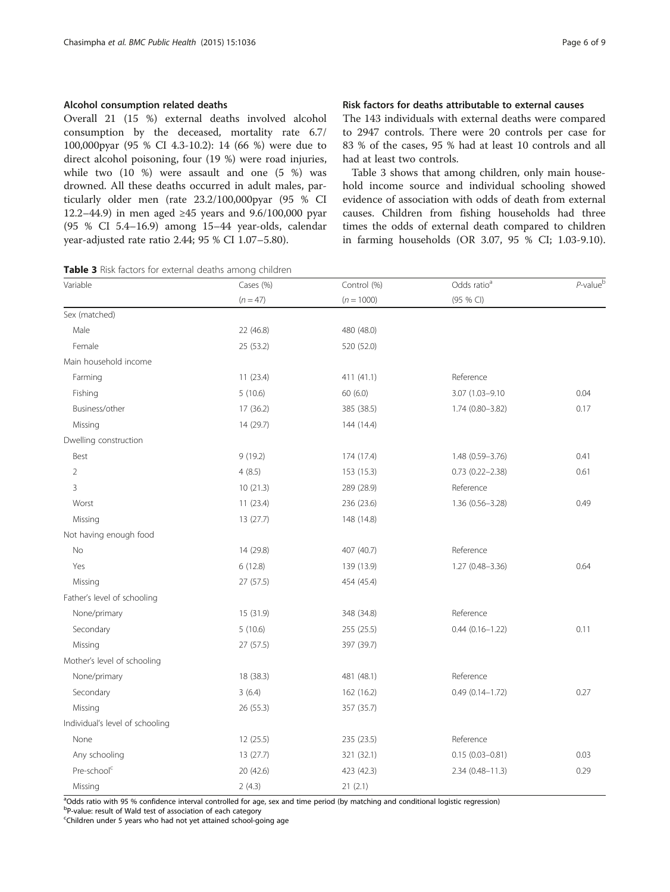### Alcohol consumption related deaths

Overall 21 (15 %) external deaths involved alcohol consumption by the deceased, mortality rate 6.7/ 100,000pyar (95 % CI 4.3-10.2): 14 (66 %) were due to direct alcohol poisoning, four (19 %) were road injuries, while two (10 %) were assault and one (5 %) was drowned. All these deaths occurred in adult males, particularly older men (rate 23.2/100,000pyar (95 % CI 12.2–44.9) in men aged ≥45 years and 9.6/100,000 pyar (95 % CI 5.4–16.9) among 15–44 year-olds, calendar year-adjusted rate ratio 2.44; 95 % CI 1.07–5.80).

Table 3 Risk factors for external deaths among children

### Risk factors for deaths attributable to external causes

The 143 individuals with external deaths were compared to 2947 controls. There were 20 controls per case for 83 % of the cases, 95 % had at least 10 controls and all had at least two controls.

Table 3 shows that among children, only main household income source and individual schooling showed evidence of association with odds of death from external causes. Children from fishing households had three times the odds of external death compared to children in farming households (OR 3.07, 95 % CI; 1.03-9.10).

| Variable                        | Cases (%)  | Control (%)  | Odds ratio <sup>a</sup> | $P$ -value $b$ |  |
|---------------------------------|------------|--------------|-------------------------|----------------|--|
|                                 | $(n = 47)$ | $(n = 1000)$ | (95 % CI)               |                |  |
| Sex (matched)                   |            |              |                         |                |  |
| Male                            | 22 (46.8)  | 480 (48.0)   |                         |                |  |
| Female                          | 25 (53.2)  | 520 (52.0)   |                         |                |  |
| Main household income           |            |              |                         |                |  |
| Farming                         | 11(23.4)   | 411 (41.1)   | Reference               |                |  |
| Fishing                         | 5(10.6)    | 60(6.0)      | 3.07 (1.03-9.10         | 0.04           |  |
| Business/other                  | 17 (36.2)  | 385 (38.5)   | 1.74 (0.80-3.82)        | 0.17           |  |
| Missing                         | 14 (29.7)  | 144 (14.4)   |                         |                |  |
| Dwelling construction           |            |              |                         |                |  |
| Best                            | 9(19.2)    | 174 (17.4)   | 1.48 (0.59-3.76)        | 0.41           |  |
| $\overline{2}$                  | 4(8.5)     | 153 (15.3)   | $0.73$ $(0.22 - 2.38)$  | 0.61           |  |
| 3                               | 10(21.3)   | 289 (28.9)   | Reference               |                |  |
| Worst                           | 11(23.4)   | 236 (23.6)   | 1.36 (0.56-3.28)        | 0.49           |  |
| Missing                         | 13(27.7)   | 148 (14.8)   |                         |                |  |
| Not having enough food          |            |              |                         |                |  |
| No                              | 14 (29.8)  | 407 (40.7)   | Reference               |                |  |
| Yes                             | 6(12.8)    | 139 (13.9)   | 1.27 (0.48-3.36)        | 0.64           |  |
| Missing                         | 27 (57.5)  | 454 (45.4)   |                         |                |  |
| Father's level of schooling     |            |              |                         |                |  |
| None/primary                    | 15 (31.9)  | 348 (34.8)   | Reference               |                |  |
| Secondary                       | 5(10.6)    | 255(25.5)    | $0.44(0.16 - 1.22)$     | 0.11           |  |
| Missing                         | 27(57.5)   | 397 (39.7)   |                         |                |  |
| Mother's level of schooling     |            |              |                         |                |  |
| None/primary                    | 18 (38.3)  | 481 (48.1)   | Reference               |                |  |
| Secondary                       | 3(6.4)     | 162 (16.2)   | $0.49(0.14 - 1.72)$     | 0.27           |  |
| Missing                         | 26 (55.3)  | 357 (35.7)   |                         |                |  |
| Individual's level of schooling |            |              |                         |                |  |
| None                            | 12(25.5)   | 235 (23.5)   | Reference               |                |  |
| Any schooling                   | 13(27.7)   | 321 (32.1)   | $0.15(0.03 - 0.81)$     | 0.03           |  |
| Pre-school <sup>c</sup>         | 20 (42.6)  | 423 (42.3)   | $2.34(0.48 - 11.3)$     | 0.29           |  |
| Missing                         | 2(4.3)     | 21(2.1)      |                         |                |  |

<sup>a</sup>Odds ratio with 95 % confidence interval controlled for age, sex and time period (by matching and conditional logistic regression)

bP-value: result of Wald test of association of each category

c Children under 5 years who had not yet attained school-going age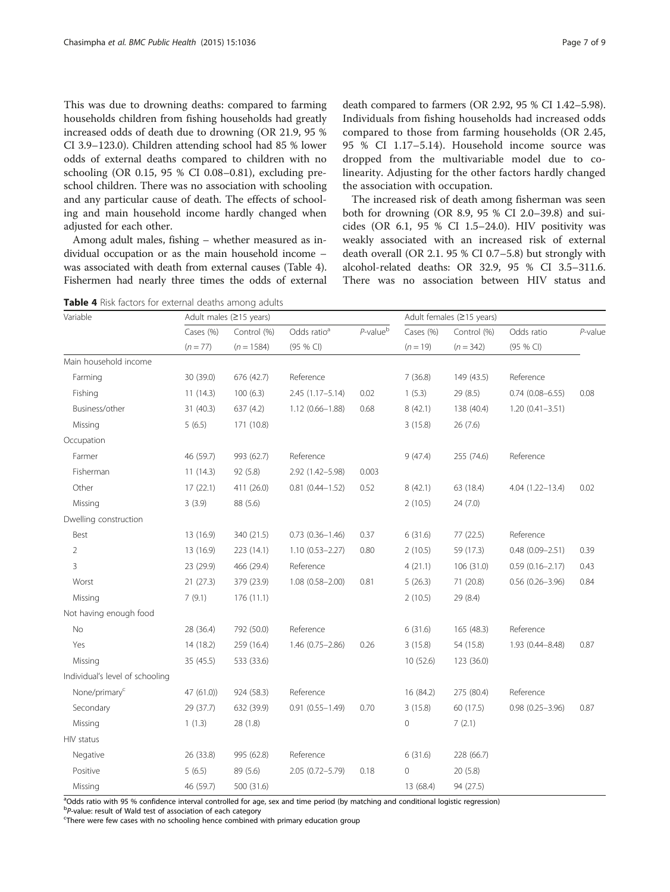This was due to drowning deaths: compared to farming households children from fishing households had greatly increased odds of death due to drowning (OR 21.9, 95 % CI 3.9–123.0). Children attending school had 85 % lower odds of external deaths compared to children with no schooling (OR 0.15, 95 % CI 0.08–0.81), excluding preschool children. There was no association with schooling and any particular cause of death. The effects of schooling and main household income hardly changed when adjusted for each other.

Among adult males, fishing – whether measured as individual occupation or as the main household income – was associated with death from external causes (Table 4). Fishermen had nearly three times the odds of external

Table 4 Risk factors for external deaths among adults

death compared to farmers (OR 2.92, 95 % CI 1.42–5.98). Individuals from fishing households had increased odds compared to those from farming households (OR 2.45, 95 % CI 1.17–5.14). Household income source was dropped from the multivariable model due to colinearity. Adjusting for the other factors hardly changed the association with occupation.

The increased risk of death among fisherman was seen both for drowning (OR 8.9, 95 % CI 2.0–39.8) and suicides (OR 6.1, 95 % CI 1.5–24.0). HIV positivity was weakly associated with an increased risk of external death overall (OR 2.1. 95 % CI 0.7–5.8) but strongly with alcohol-related deaths: OR 32.9, 95 % CI 3.5–311.6. There was no association between HIV status and

| Variable                        | Adult males (≥15 years) |                             |                                      |                |                         | Adult females (≥15 years)  |                         |            |  |
|---------------------------------|-------------------------|-----------------------------|--------------------------------------|----------------|-------------------------|----------------------------|-------------------------|------------|--|
|                                 | Cases (%)               | Control (%)<br>$(n = 1584)$ | Odds ratio <sup>a</sup><br>(95 % CI) | $P$ -value $b$ | Cases (%)<br>$(n = 19)$ | Control (%)<br>$(n = 342)$ | Odds ratio<br>(95 % CI) | $P$ -value |  |
|                                 | $(n = 77)$              |                             |                                      |                |                         |                            |                         |            |  |
| Main household income           |                         |                             |                                      |                |                         |                            |                         |            |  |
| Farming                         | 30 (39.0)               | 676 (42.7)                  | Reference                            |                | 7(36.8)                 | 149 (43.5)                 | Reference               |            |  |
| Fishing                         | 11(14.3)                | 100(6.3)                    | 2.45 (1.17-5.14)                     | 0.02           | 1(5.3)                  | 29 (8.5)                   | $0.74(0.08 - 6.55)$     | 0.08       |  |
| Business/other                  | 31(40.3)                | 637 (4.2)                   | $1.12(0.66 - 1.88)$                  | 0.68           | 8(42.1)                 | 138 (40.4)                 | $1.20(0.41 - 3.51)$     |            |  |
| Missing                         | 5(6.5)                  | 171 (10.8)                  |                                      |                | 3(15.8)                 | 26(7.6)                    |                         |            |  |
| Occupation                      |                         |                             |                                      |                |                         |                            |                         |            |  |
| Farmer                          | 46 (59.7)               | 993 (62.7)                  | Reference                            |                | 9(47.4)                 | 255 (74.6)                 | Reference               |            |  |
| Fisherman                       | 11(14.3)                | 92 (5.8)                    | 2.92 (1.42-5.98)                     | 0.003          |                         |                            |                         |            |  |
| Other                           | 17(22.1)                | 411 (26.0)                  | $0.81$ $(0.44 - 1.52)$               | 0.52           | 8(42.1)                 | 63 (18.4)                  | 4.04 (1.22-13.4)        | 0.02       |  |
| Missing                         | 3(3.9)                  | 88 (5.6)                    |                                      |                | 2(10.5)                 | 24 (7.0)                   |                         |            |  |
| Dwelling construction           |                         |                             |                                      |                |                         |                            |                         |            |  |
| Best                            | 13 (16.9)               | 340 (21.5)                  | $0.73(0.36 - 1.46)$                  | 0.37           | 6(31.6)                 | 77 (22.5)                  | Reference               |            |  |
| $\overline{2}$                  | 13 (16.9)               | 223 (14.1)                  | $1.10(0.53 - 2.27)$                  | 0.80           | 2(10.5)                 | 59 (17.3)                  | $0.48(0.09 - 2.51)$     | 0.39       |  |
| 3                               | 23 (29.9)               | 466 (29.4)                  | Reference                            |                | 4(21.1)                 | 106 (31.0)                 | $0.59(0.16 - 2.17)$     | 0.43       |  |
| Worst                           | 21(27.3)                | 379 (23.9)                  | 1.08 (0.58-2.00)                     | 0.81           | 5(26.3)                 | 71 (20.8)                  | $0.56(0.26 - 3.96)$     | 0.84       |  |
| Missing                         | 7(9.1)                  | 176(11.1)                   |                                      |                | 2(10.5)                 | 29 (8.4)                   |                         |            |  |
| Not having enough food          |                         |                             |                                      |                |                         |                            |                         |            |  |
| No                              | 28 (36.4)               | 792 (50.0)                  | Reference                            |                | 6(31.6)                 | 165 (48.3)                 | Reference               |            |  |
| Yes                             | 14 (18.2)               | 259 (16.4)                  | 1.46 (0.75-2.86)                     | 0.26           | 3(15.8)                 | 54 (15.8)                  | 1.93 (0.44-8.48)        | 0.87       |  |
| Missing                         | 35 (45.5)               | 533 (33.6)                  |                                      |                | 10(52.6)                | 123 (36.0)                 |                         |            |  |
| Individual's level of schooling |                         |                             |                                      |                |                         |                            |                         |            |  |
| None/primary <sup>c</sup>       | 47(61.0)                | 924 (58.3)                  | Reference                            |                | 16 (84.2)               | 275 (80.4)                 | Reference               |            |  |
| Secondary                       | 29 (37.7)               | 632 (39.9)                  | $0.91(0.55 - 1.49)$                  | 0.70           | 3(15.8)                 | 60 (17.5)                  | $0.98(0.25 - 3.96)$     | 0.87       |  |
| Missing                         | 1(1.3)                  | 28 (1.8)                    |                                      |                | 0                       | 7(2.1)                     |                         |            |  |
| HIV status                      |                         |                             |                                      |                |                         |                            |                         |            |  |
| Negative                        | 26 (33.8)               | 995 (62.8)                  | Reference                            |                | 6(31.6)                 | 228 (66.7)                 |                         |            |  |
| Positive                        | 5(6.5)                  | 89 (5.6)                    | 2.05 (0.72-5.79)                     | 0.18           | $\overline{0}$          | 20(5.8)                    |                         |            |  |
| Missing                         | 46 (59.7)               | 500 (31.6)                  |                                      |                | 13 (68.4)               | 94 (27.5)                  |                         |            |  |

<sup>a</sup>Odds ratio with 95 % confidence interval controlled for age, sex and time period (by matching and conditional logistic regression)

b<sub>P</sub>-value: result of Wald test of association of each category<br>SThere were few cases with no schooling bence combined

There were few cases with no schooling hence combined with primary education group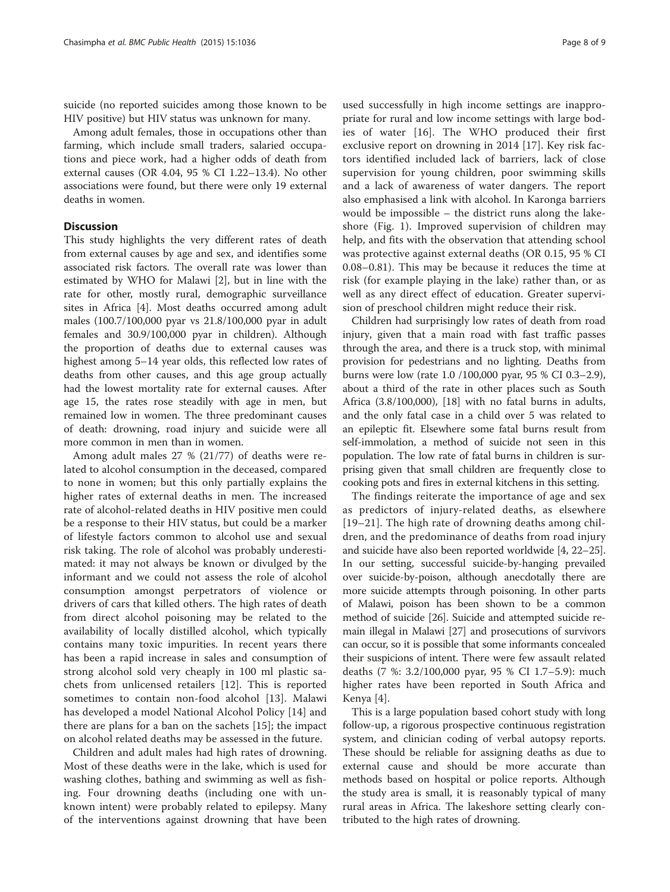suicide (no reported suicides among those known to be HIV positive) but HIV status was unknown for many.

Among adult females, those in occupations other than farming, which include small traders, salaried occupations and piece work, had a higher odds of death from external causes (OR 4.04, 95 % CI 1.22–13.4). No other associations were found, but there were only 19 external deaths in women.

### **Discussion**

This study highlights the very different rates of death from external causes by age and sex, and identifies some associated risk factors. The overall rate was lower than estimated by WHO for Malawi [\[2](#page-8-0)], but in line with the rate for other, mostly rural, demographic surveillance sites in Africa [[4](#page-8-0)]. Most deaths occurred among adult males (100.7/100,000 pyar vs 21.8/100,000 pyar in adult females and 30.9/100,000 pyar in children). Although the proportion of deaths due to external causes was highest among 5–14 year olds, this reflected low rates of deaths from other causes, and this age group actually had the lowest mortality rate for external causes. After age 15, the rates rose steadily with age in men, but remained low in women. The three predominant causes of death: drowning, road injury and suicide were all more common in men than in women.

Among adult males 27 % (21/77) of deaths were related to alcohol consumption in the deceased, compared to none in women; but this only partially explains the higher rates of external deaths in men. The increased rate of alcohol-related deaths in HIV positive men could be a response to their HIV status, but could be a marker of lifestyle factors common to alcohol use and sexual risk taking. The role of alcohol was probably underestimated: it may not always be known or divulged by the informant and we could not assess the role of alcohol consumption amongst perpetrators of violence or drivers of cars that killed others. The high rates of death from direct alcohol poisoning may be related to the availability of locally distilled alcohol, which typically contains many toxic impurities. In recent years there has been a rapid increase in sales and consumption of strong alcohol sold very cheaply in 100 ml plastic sachets from unlicensed retailers [[12\]](#page-8-0). This is reported sometimes to contain non-food alcohol [\[13](#page-8-0)]. Malawi has developed a model National Alcohol Policy [\[14](#page-8-0)] and there are plans for a ban on the sachets [[15\]](#page-8-0); the impact on alcohol related deaths may be assessed in the future.

Children and adult males had high rates of drowning. Most of these deaths were in the lake, which is used for washing clothes, bathing and swimming as well as fishing. Four drowning deaths (including one with unknown intent) were probably related to epilepsy. Many of the interventions against drowning that have been

used successfully in high income settings are inappropriate for rural and low income settings with large bodies of water [[16](#page-8-0)]. The WHO produced their first exclusive report on drowning in 2014 [[17\]](#page-8-0). Key risk factors identified included lack of barriers, lack of close supervision for young children, poor swimming skills and a lack of awareness of water dangers. The report also emphasised a link with alcohol. In Karonga barriers would be impossible – the district runs along the lakeshore (Fig. [1\)](#page-2-0). Improved supervision of children may help, and fits with the observation that attending school was protective against external deaths (OR 0.15, 95 % CI 0.08–0.81). This may be because it reduces the time at risk (for example playing in the lake) rather than, or as well as any direct effect of education. Greater supervision of preschool children might reduce their risk.

Children had surprisingly low rates of death from road injury, given that a main road with fast traffic passes through the area, and there is a truck stop, with minimal provision for pedestrians and no lighting. Deaths from burns were low (rate 1.0 /100,000 pyar, 95 % CI 0.3–2.9), about a third of the rate in other places such as South Africa (3.8/100,000), [[18](#page-8-0)] with no fatal burns in adults, and the only fatal case in a child over 5 was related to an epileptic fit. Elsewhere some fatal burns result from self-immolation, a method of suicide not seen in this population. The low rate of fatal burns in children is surprising given that small children are frequently close to cooking pots and fires in external kitchens in this setting.

The findings reiterate the importance of age and sex as predictors of injury-related deaths, as elsewhere [[19](#page-8-0)–[21\]](#page-8-0). The high rate of drowning deaths among children, and the predominance of deaths from road injury and suicide have also been reported worldwide [[4](#page-8-0), [22](#page-8-0)–[25](#page-8-0)]. In our setting, successful suicide-by-hanging prevailed over suicide-by-poison, although anecdotally there are more suicide attempts through poisoning. In other parts of Malawi, poison has been shown to be a common method of suicide [\[26\]](#page-8-0). Suicide and attempted suicide remain illegal in Malawi [\[27\]](#page-8-0) and prosecutions of survivors can occur, so it is possible that some informants concealed their suspicions of intent. There were few assault related deaths (7 %: 3.2/100,000 pyar, 95 % CI 1.7–5.9): much higher rates have been reported in South Africa and Kenya [\[4](#page-8-0)].

This is a large population based cohort study with long follow-up, a rigorous prospective continuous registration system, and clinician coding of verbal autopsy reports. These should be reliable for assigning deaths as due to external cause and should be more accurate than methods based on hospital or police reports. Although the study area is small, it is reasonably typical of many rural areas in Africa. The lakeshore setting clearly contributed to the high rates of drowning.